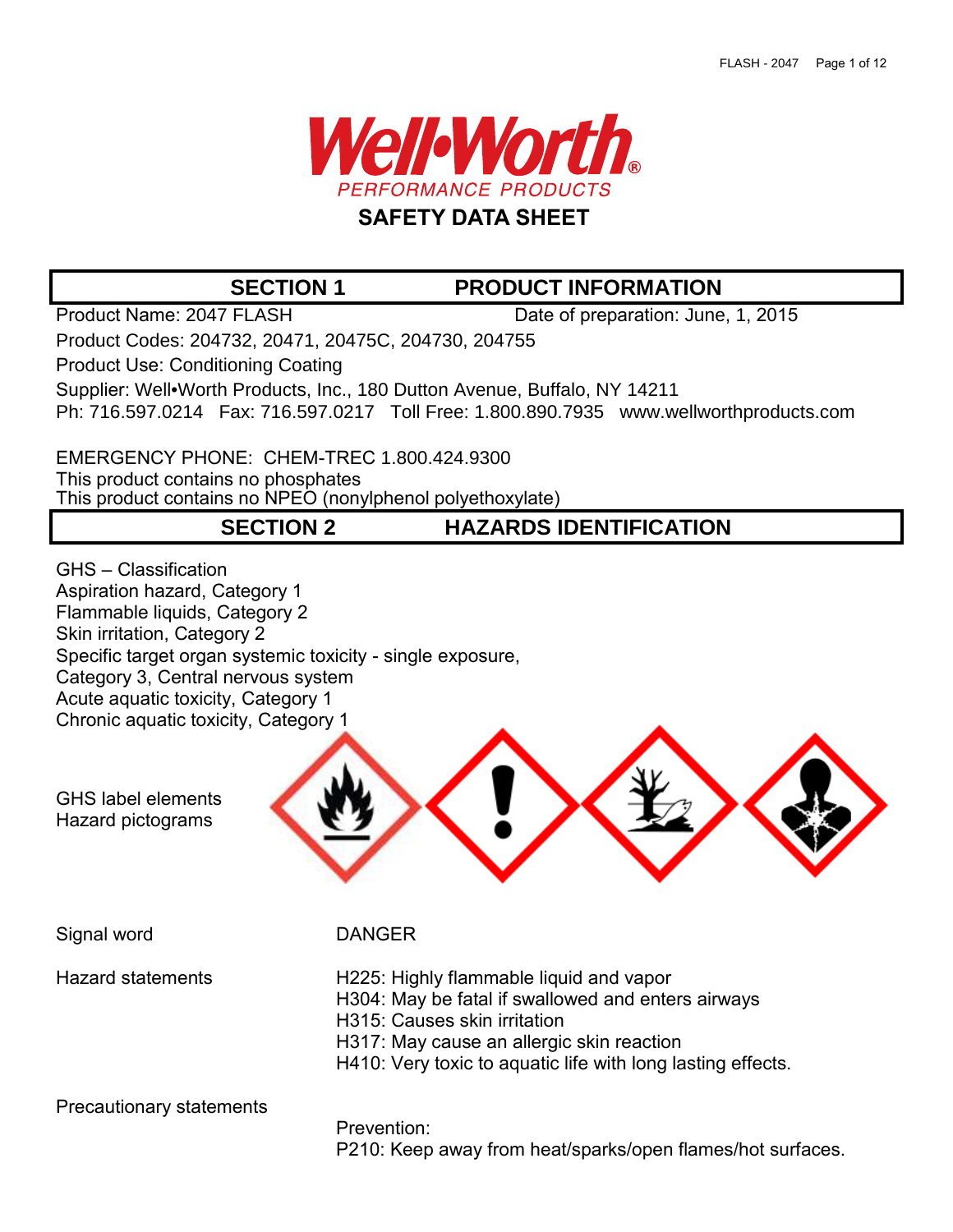

## **SECTION 1 PRODUCT INFORMATION**

Product Name: 2047 FLASH Date of preparation: June, 1, 2015

Product Codes: 204732, 20471, 20475C, 204730, 204755

Product Use: Conditioning Coating

Supplier: Well•Worth Products, Inc., 180 Dutton Avenue, Buffalo, NY 14211 Ph: 716.597.0214 Fax: 716.597.0217 Toll Free: 1.800.890.7935 www.wellworthproducts.com

EMERGENCY PHONE: CHEM-TREC 1.800.424.9300 This product contains no phosphates

This product contains no NPEO (nonylphenol polyethoxylate)

## **SECTION 2 HAZARDS IDENTIFICATION**

GHS – Classification Aspiration hazard, Category 1 Flammable liquids, Category 2 Skin irritation, Category 2 Specific target organ systemic toxicity - single exposure, Category 3, Central nervous system Acute aquatic toxicity, Category 1 Chronic aquatic toxicity, Category 1



Hazard pictograms

GHS label elements

Signal word DANGER

Hazard statements H225: Highly flammable liquid and vapor H304: May be fatal if swallowed and enters airways

H315: Causes skin irritation

- H317: May cause an allergic skin reaction
- H410: Very toxic to aquatic life with long lasting effects.

Precautionary statements

Prevention:

P210: Keep away from heat/sparks/open flames/hot surfaces.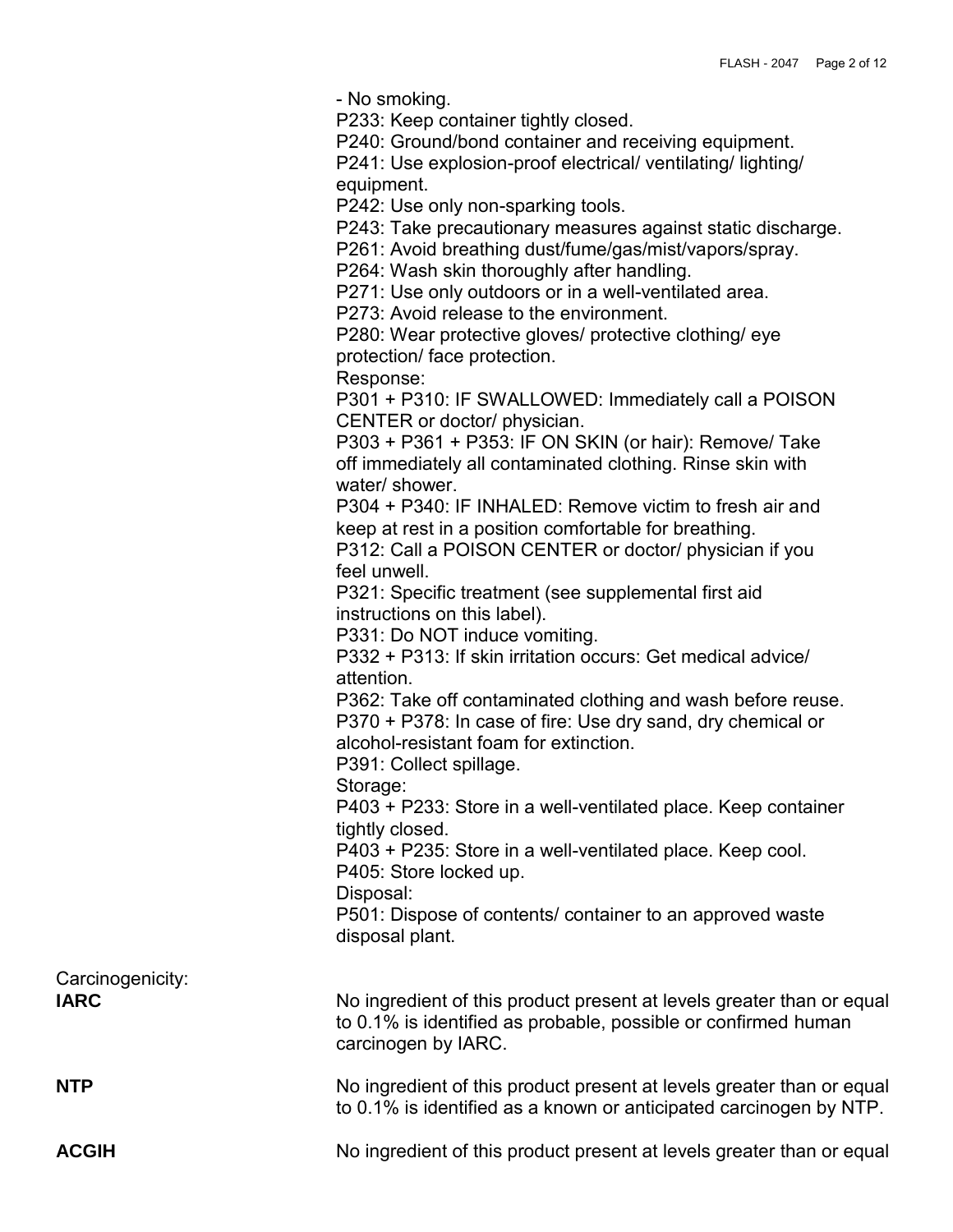- No smoking.

P233: Keep container tightly closed.

P240: Ground/bond container and receiving equipment.

P241: Use explosion-proof electrical/ ventilating/ lighting/ equipment.

P242: Use only non-sparking tools.

P243: Take precautionary measures against static discharge.

P261: Avoid breathing dust/fume/gas/mist/vapors/spray.

P264: Wash skin thoroughly after handling.

P271: Use only outdoors or in a well-ventilated area.

P273: Avoid release to the environment.

P280: Wear protective gloves/ protective clothing/ eye protection/ face protection.

Response:

P301 + P310: IF SWALLOWED: Immediately call a POISON CENTER or doctor/ physician.

P303 + P361 + P353: IF ON SKIN (or hair): Remove/ Take off immediately all contaminated clothing. Rinse skin with water/ shower.

P304 + P340: IF INHALED: Remove victim to fresh air and keep at rest in a position comfortable for breathing.

P312: Call a POISON CENTER or doctor/ physician if you feel unwell.

P321: Specific treatment (see supplemental first aid instructions on this label).

P331: Do NOT induce vomiting.

P332 + P313: If skin irritation occurs: Get medical advice/ attention.

P362: Take off contaminated clothing and wash before reuse. P370 + P378: In case of fire: Use dry sand, dry chemical or alcohol-resistant foam for extinction.

P391: Collect spillage.

Storage:

P403 + P233: Store in a well-ventilated place. Keep container tightly closed.

P403 + P235: Store in a well-ventilated place. Keep cool. P405: Store locked up.

Disposal:

P501: Dispose of contents/ container to an approved waste disposal plant.

Carcinogenicity:

**IARC** No ingredient of this product present at levels greater than or equal to 0.1% is identified as probable, possible or confirmed human carcinogen by IARC.

**NTP** No ingredient of this product present at levels greater than or equal to 0.1% is identified as a known or anticipated carcinogen by NTP.

**ACGIH** No ingredient of this product present at levels greater than or equal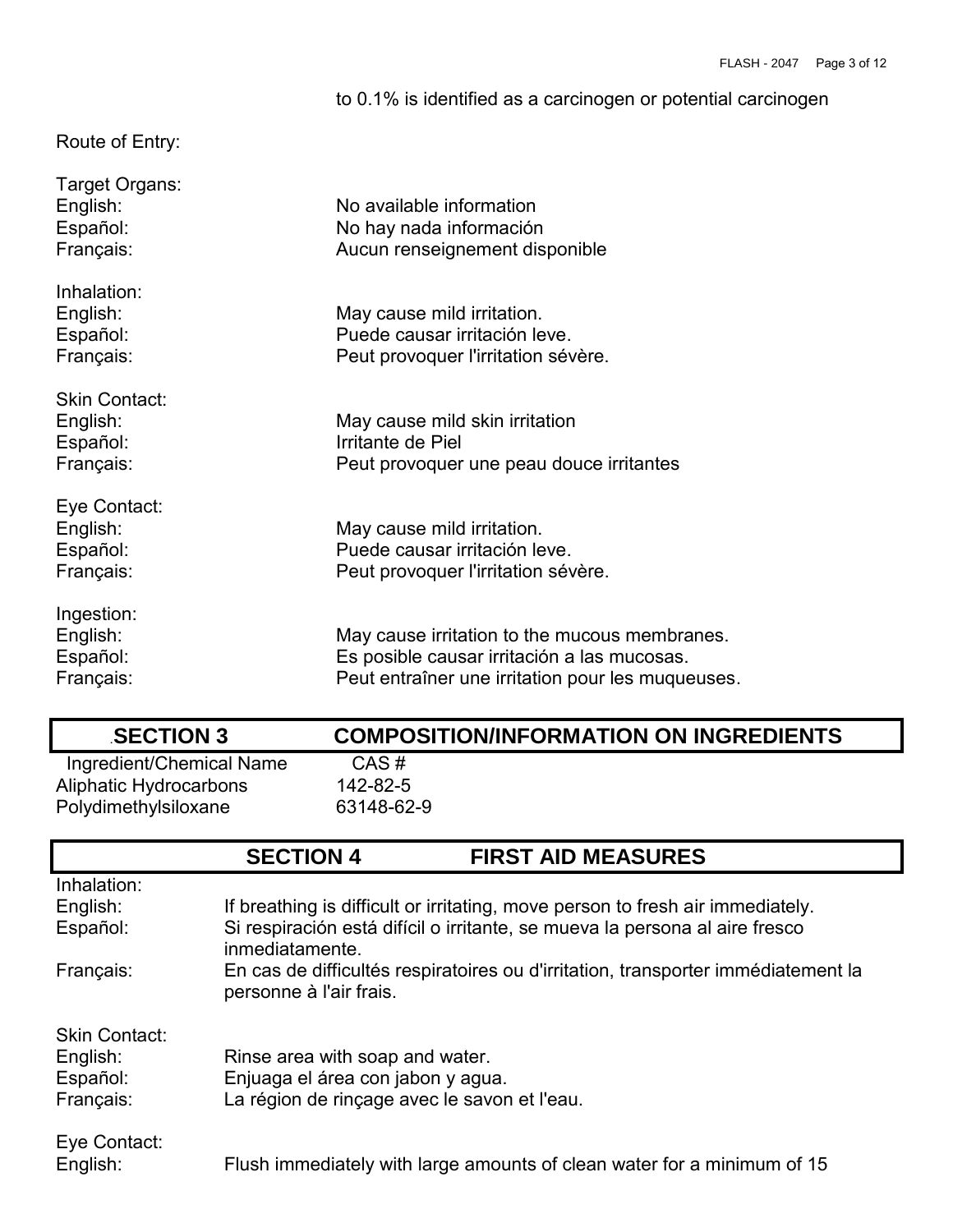to 0.1% is identified as a carcinogen or potential carcinogen

# Route of Entry:

| Target Organs:<br>English:<br>Español:<br>Français:       | No available information<br>No hay nada información<br>Aucun renseignement disponible                                                             |
|-----------------------------------------------------------|---------------------------------------------------------------------------------------------------------------------------------------------------|
| Inhalation:<br>English:<br>Español:<br>Français:          | May cause mild irritation.<br>Puede causar irritación leve.<br>Peut provoquer l'irritation sévère.                                                |
| <b>Skin Contact:</b><br>English:<br>Español:<br>Français: | May cause mild skin irritation<br>Irritante de Piel<br>Peut provoquer une peau douce irritantes                                                   |
| Eye Contact:<br>English:<br>Español:<br>Français:         | May cause mild irritation.<br>Puede causar irritación leve.<br>Peut provoquer l'irritation sévère.                                                |
| Ingestion:<br>English:<br>Español:<br>Français:           | May cause irritation to the mucous membranes.<br>Es posible causar irritación a las mucosas.<br>Peut entraîner une irritation pour les muqueuses. |

| <b>SECTION 3</b>         | <b>COMPOSITION/INFORMATION ON INGREDIENTS</b> |
|--------------------------|-----------------------------------------------|
| Ingredient/Chemical Name | CAS#                                          |
| Aliphatic Hydrocarbons   | 142-82-5                                      |
| Polydimethylsiloxane     | 63148-62-9                                    |

|                      | <b>SECTION 4</b>                             | <b>FIRST AID MEASURES</b>                                                         |
|----------------------|----------------------------------------------|-----------------------------------------------------------------------------------|
| Inhalation:          |                                              |                                                                                   |
| English:             |                                              | If breathing is difficult or irritating, move person to fresh air immediately.    |
| Español:             | inmediatamente.                              | Si respiración está difícil o irritante, se mueva la persona al aire fresco       |
| Français:            | personne à l'air frais.                      | En cas de difficultés respiratoires ou d'irritation, transporter immédiatement la |
| <b>Skin Contact:</b> |                                              |                                                                                   |
| English:             | Rinse area with soap and water.              |                                                                                   |
| Español:             | Enjuaga el área con jabon y agua.            |                                                                                   |
| Français:            | La région de rinçage avec le savon et l'eau. |                                                                                   |
| Eye Contact:         |                                              |                                                                                   |
| English:             |                                              | Flush immediately with large amounts of clean water for a minimum of 15           |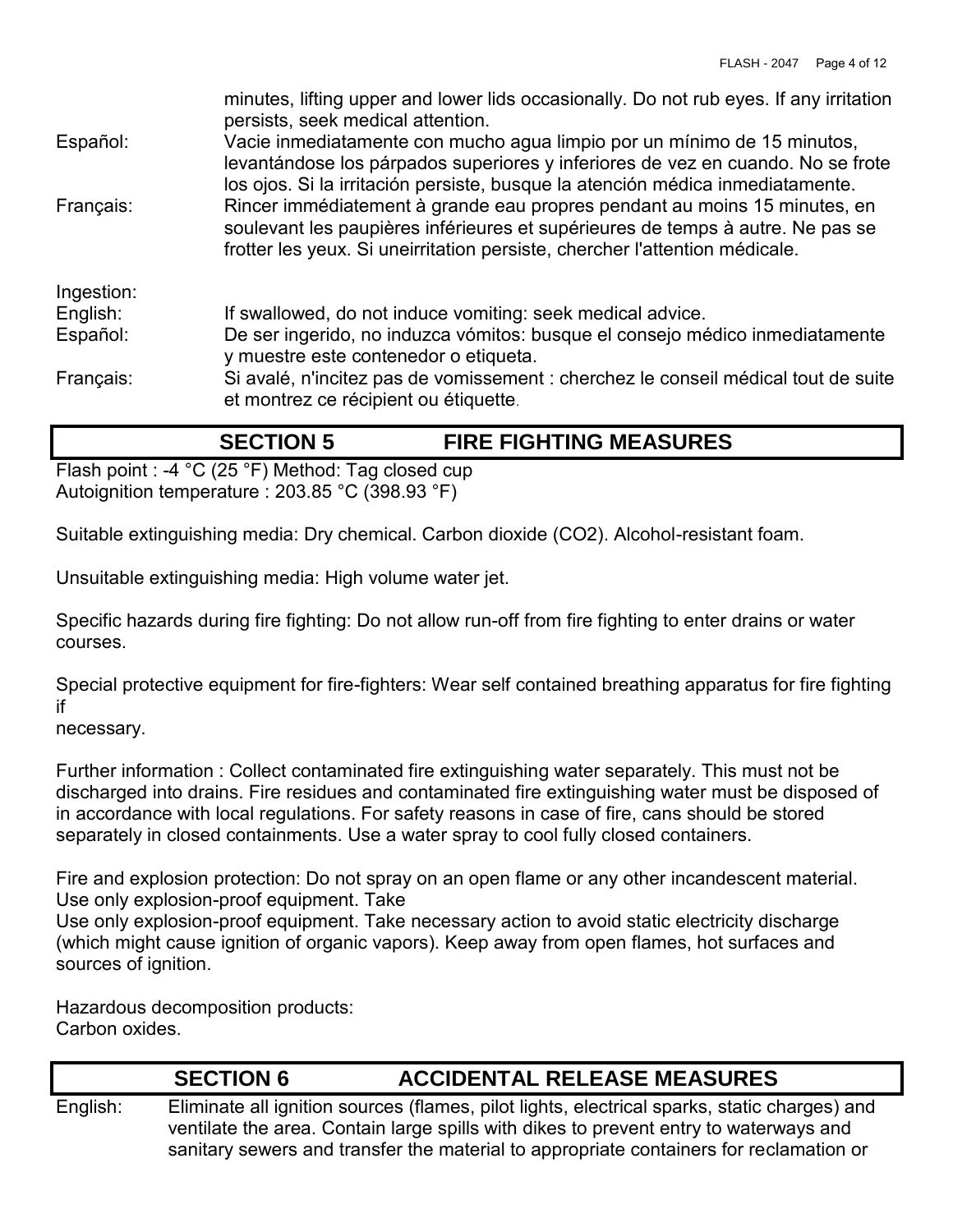|            | minutes, lifting upper and lower lids occasionally. Do not rub eyes. If any irritation<br>persists, seek medical attention.                                                                                                                  |
|------------|----------------------------------------------------------------------------------------------------------------------------------------------------------------------------------------------------------------------------------------------|
| Español:   | Vacie inmediatamente con mucho agua limpio por un mínimo de 15 minutos,<br>levantándose los párpados superiores y inferiores de vez en cuando. No se frote<br>los ojos. Si la irritación persiste, busque la atención médica inmediatamente. |
| Français:  | Rincer immédiatement à grande eau propres pendant au moins 15 minutes, en<br>soulevant les paupières inférieures et supérieures de temps à autre. Ne pas se<br>frotter les yeux. Si uneirritation persiste, chercher l'attention médicale.   |
| Ingestion: |                                                                                                                                                                                                                                              |
| English:   | If swallowed, do not induce vomiting: seek medical advice.                                                                                                                                                                                   |
| Español:   | De ser ingerido, no induzca vómitos: busque el consejo médico inmediatamente<br>y muestre este contenedor o etiqueta.                                                                                                                        |
| Français:  | Si avalé, n'incitez pas de vomissement : cherchez le conseil médical tout de suite<br>et montrez ce récipient ou étiquette.                                                                                                                  |

### **SECTION 5 FIRE FIGHTING MEASURES**

Flash point : -4 °C (25 °F) Method: Tag closed cup Autoignition temperature : 203.85 °C (398.93 °F)

Suitable extinguishing media: Dry chemical. Carbon dioxide (CO2). Alcohol-resistant foam.

Unsuitable extinguishing media: High volume water jet.

Specific hazards during fire fighting: Do not allow run-off from fire fighting to enter drains or water courses.

Special protective equipment for fire-fighters: Wear self contained breathing apparatus for fire fighting if

necessary.

Further information : Collect contaminated fire extinguishing water separately. This must not be discharged into drains. Fire residues and contaminated fire extinguishing water must be disposed of in accordance with local regulations. For safety reasons in case of fire, cans should be stored separately in closed containments. Use a water spray to cool fully closed containers.

Fire and explosion protection: Do not spray on an open flame or any other incandescent material. Use only explosion-proof equipment. Take Use only explosion-proof equipment. Take necessary action to avoid static electricity discharge (which might cause ignition of organic vapors). Keep away from open flames, hot surfaces and sources of ignition.

Hazardous decomposition products: Carbon oxides.

|          | <b>SECTION 6</b> | <b>ACCIDENTAL RELEASE MEASURES</b>                                                                                                                                                    |
|----------|------------------|---------------------------------------------------------------------------------------------------------------------------------------------------------------------------------------|
| English: |                  | Eliminate all ignition sources (flames, pilot lights, electrical sparks, static charges) and<br>ventilate the area. Contain large spills with dikes to prevent entry to waterways and |
|          |                  | sanitary sewers and transfer the material to appropriate containers for reclamation or                                                                                                |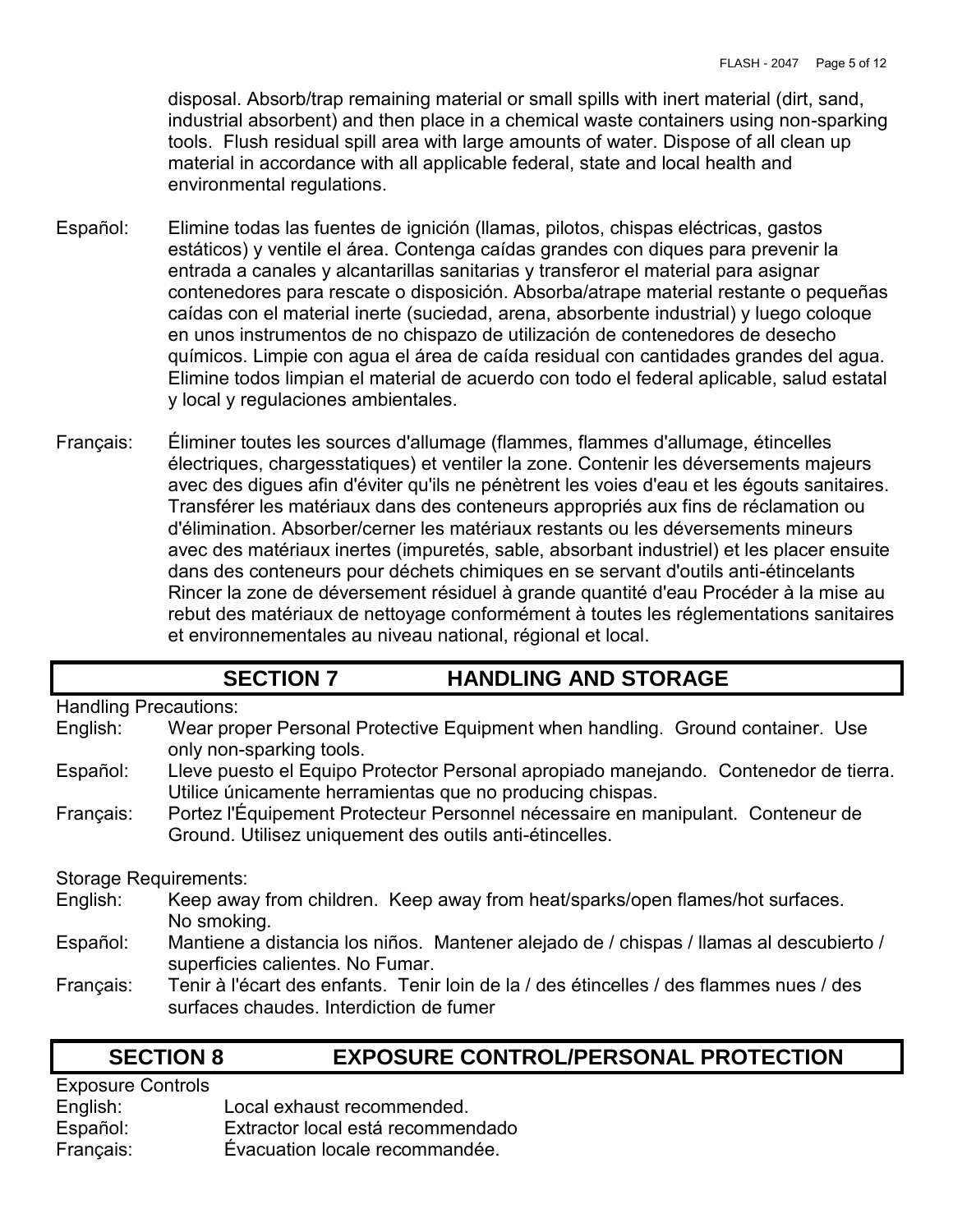disposal. Absorb/trap remaining material or small spills with inert material (dirt, sand, industrial absorbent) and then place in a chemical waste containers using non-sparking tools. Flush residual spill area with large amounts of water. Dispose of all clean up material in accordance with all applicable federal, state and local health and environmental regulations.

- Español: Elimine todas las fuentes de ignición (llamas, pilotos, chispas eléctricas, gastos estáticos) y ventile el área. Contenga caídas grandes con diques para prevenir la entrada a canales y alcantarillas sanitarias y transferor el material para asignar contenedores para rescate o disposición. Absorba/atrape material restante o pequeñas caídas con el material inerte (suciedad, arena, absorbente industrial) y luego coloque en unos instrumentos de no chispazo de utilización de contenedores de desecho químicos. Limpie con agua el área de caída residual con cantidades grandes del agua. Elimine todos limpian el material de acuerdo con todo el federal aplicable, salud estatal y local y regulaciones ambientales.
- Français: Éliminer toutes les sources d'allumage (flammes, flammes d'allumage, étincelles électriques, chargesstatiques) et ventiler la zone. Contenir les déversements majeurs avec des digues afin d'éviter qu'ils ne pénètrent les voies d'eau et les égouts sanitaires. Transférer les matériaux dans des conteneurs appropriés aux fins de réclamation ou d'élimination. Absorber/cerner les matériaux restants ou les déversements mineurs avec des matériaux inertes (impuretés, sable, absorbant industriel) et les placer ensuite dans des conteneurs pour déchets chimiques en se servant d'outils anti-étincelants Rincer la zone de déversement résiduel à grande quantité d'eau Procéder à la mise au rebut des matériaux de nettoyage conformément à toutes les réglementations sanitaires et environnementales au niveau national, régional et local.

### **SECTION 7 HANDLING AND STORAGE**

Handling Precautions:

| English: | Wear proper Personal Protective Equipment when handling. Ground container. Use |  |
|----------|--------------------------------------------------------------------------------|--|
|          | only non-sparking tools.                                                       |  |

- Español: Lleve puesto el Equipo Protector Personal apropiado manejando. Contenedor de tierra. Utilice únicamente herramientas que no producing chispas.
- Français: Portez l'Équipement Protecteur Personnel nécessaire en manipulant. Conteneur de Ground. Utilisez uniquement des outils anti-étincelles.

Storage Requirements:

- English: Keep away from children. Keep away from heat/sparks/open flames/hot surfaces. No smoking.
- Español: Mantiene a distancia los niños. Mantener alejado de / chispas / llamas al descubierto / superficies calientes. No Fumar.
- Français: Tenir à l'écart des enfants. Tenir loin de la / des étincelles / des flammes nues / des surfaces chaudes. Interdiction de fumer

### **SECTION 8 EXPOSURE CONTROL/PERSONAL PROTECTION**

Exposure Controls English: Local exhaust recommended. Español: Extractor local está recommendado Français: Évacuation locale recommandée.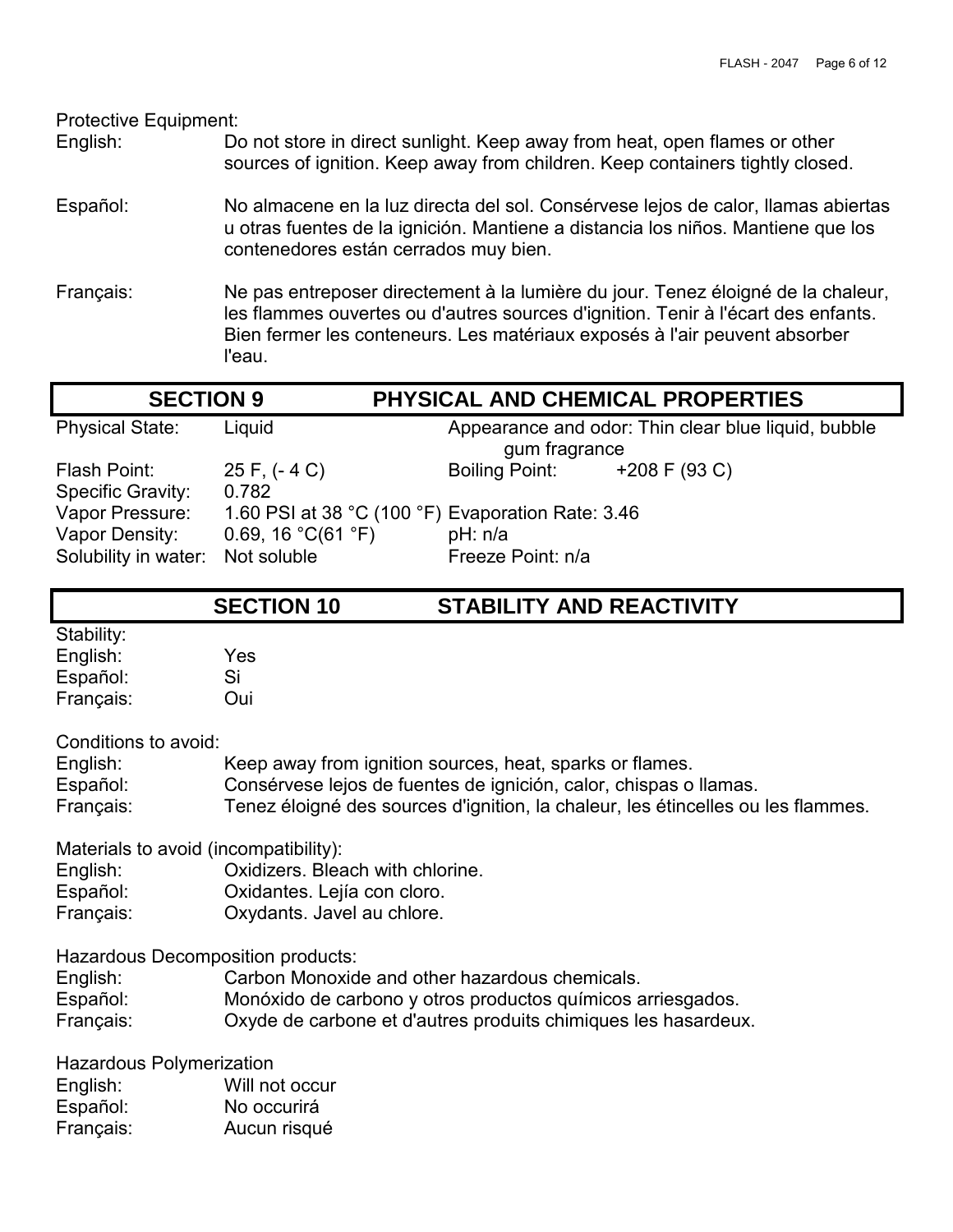Protective Equipment: English: Do not store in direct sunlight. Keep away from heat, open flames or other sources of ignition. Keep away from children. Keep containers tightly closed. Español: No almacene en la luz directa del sol. Consérvese lejos de calor, llamas abiertas

u otras fuentes de la ignición. Mantiene a distancia los niños. Mantiene que los contenedores están cerrados muy bien.

Français: Ne pas entreposer directement à la lumière du jour. Tenez éloigné de la chaleur, les flammes ouvertes ou d'autres sources d'ignition. Tenir à l'écart des enfants. Bien fermer les conteneurs. Les matériaux exposés à l'air peuvent absorber l'eau.

| <b>SECTION 9</b>                      |                                                                                  |                                 | PHYSICAL AND CHEMICAL PROPERTIES                    |
|---------------------------------------|----------------------------------------------------------------------------------|---------------------------------|-----------------------------------------------------|
| <b>Physical State:</b>                | Liquid                                                                           | gum fragrance                   | Appearance and odor: Thin clear blue liquid, bubble |
| Flash Point:                          | 25 F, (- 4 C)                                                                    | <b>Boiling Point:</b>           | $+208$ F (93 C)                                     |
| Specific Gravity:                     | 0.782                                                                            |                                 |                                                     |
| Vapor Pressure:                       | 1.60 PSI at 38 °C (100 °F) Evaporation Rate: 3.46                                |                                 |                                                     |
| Vapor Density:                        | 0.69, 16 $°C(61 °F)$                                                             | pH: n/a                         |                                                     |
| Solubility in water:                  | Not soluble                                                                      | Freeze Point: n/a               |                                                     |
|                                       | <b>SECTION 10</b>                                                                | <b>STABILITY AND REACTIVITY</b> |                                                     |
| Stability:                            |                                                                                  |                                 |                                                     |
| English:                              | Yes                                                                              |                                 |                                                     |
| Español:                              | Si                                                                               |                                 |                                                     |
| Français:                             | Oui                                                                              |                                 |                                                     |
| Conditions to avoid:                  |                                                                                  |                                 |                                                     |
| English:                              | Keep away from ignition sources, heat, sparks or flames.                         |                                 |                                                     |
| Español:                              | Consérvese lejos de fuentes de ignición, calor, chispas o llamas.                |                                 |                                                     |
| Français:                             | Tenez éloigné des sources d'ignition, la chaleur, les étincelles ou les flammes. |                                 |                                                     |
| Materials to avoid (incompatibility): |                                                                                  |                                 |                                                     |
| English:                              | Oxidizers. Bleach with chlorine.                                                 |                                 |                                                     |
| Español:                              | Oxidantes. Lejía con cloro.                                                      |                                 |                                                     |
| Français:                             | Oxydants. Javel au chlore.                                                       |                                 |                                                     |
| Hazardous Decomposition products:     |                                                                                  |                                 |                                                     |
| English:                              | Carbon Monoxide and other hazardous chemicals.                                   |                                 |                                                     |
| Español:                              | Monóxido de carbono y otros productos químicos arriesgados.                      |                                 |                                                     |

Français: Oxyde de carbone et d'autres produits chimiques les hasardeux.

Hazardous Polymerization

| English:  | Will not occur |
|-----------|----------------|
| Español:  | No occurirá    |
| Français: | Aucun risqué   |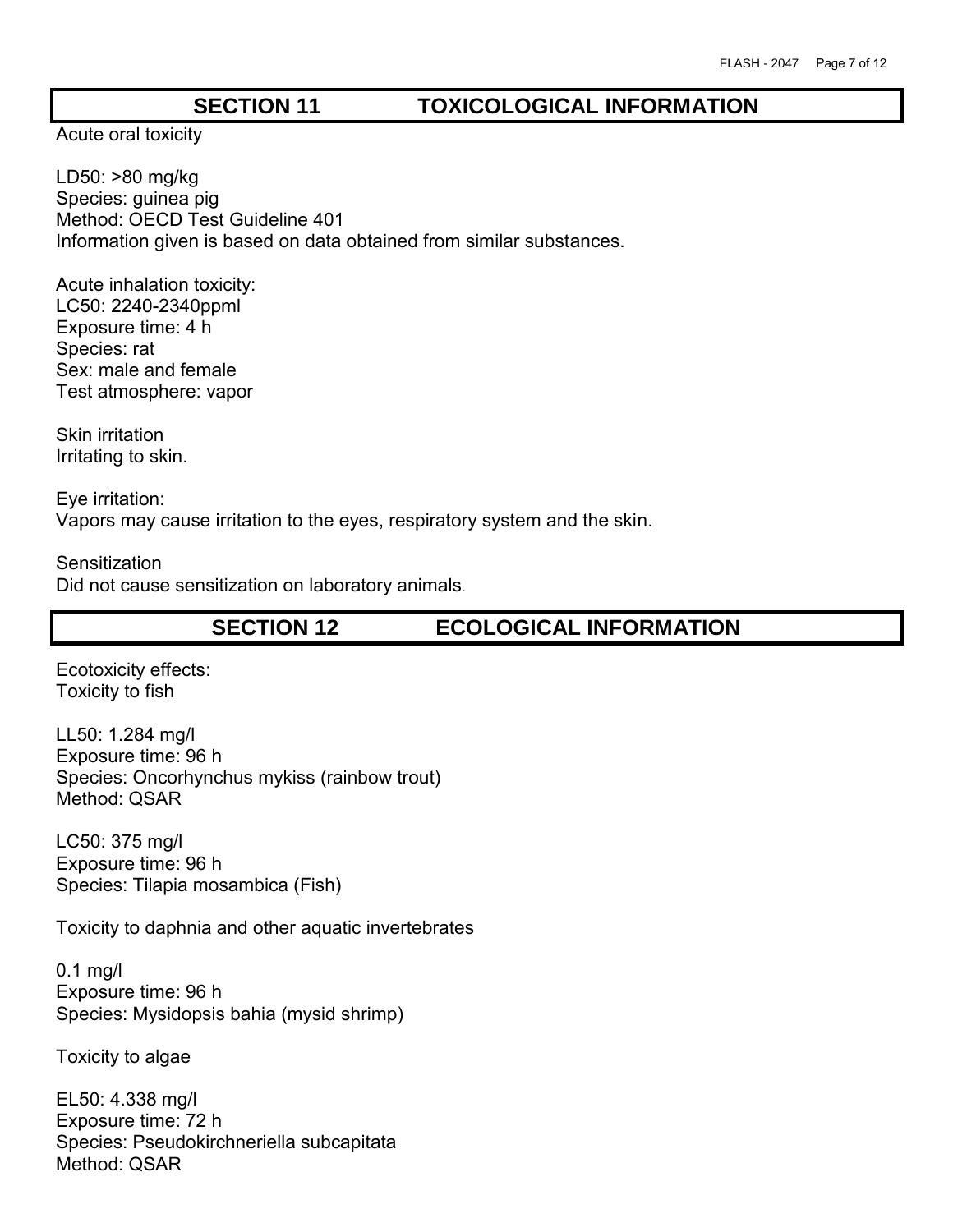### **SECTION 11 TOXICOLOGICAL INFORMATION**

Acute oral toxicity

LD50: >80 mg/kg Species: guinea pig Method: OECD Test Guideline 401 Information given is based on data obtained from similar substances.

Acute inhalation toxicity: LC50: 2240-2340ppml Exposure time: 4 h Species: rat Sex: male and female Test atmosphere: vapor

Skin irritation Irritating to skin.

Eye irritation: Vapors may cause irritation to the eyes, respiratory system and the skin.

**Sensitization** Did not cause sensitization on laboratory animals.

#### **SECTION 12 ECOLOGICAL INFORMATION**

Ecotoxicity effects: Toxicity to fish

LL50: 1.284 mg/l Exposure time: 96 h Species: Oncorhynchus mykiss (rainbow trout) Method: QSAR

LC50: 375 mg/l Exposure time: 96 h Species: Tilapia mosambica (Fish)

Toxicity to daphnia and other aquatic invertebrates

0.1 mg/l Exposure time: 96 h Species: Mysidopsis bahia (mysid shrimp)

Toxicity to algae

EL50: 4.338 mg/l Exposure time: 72 h Species: Pseudokirchneriella subcapitata Method: QSAR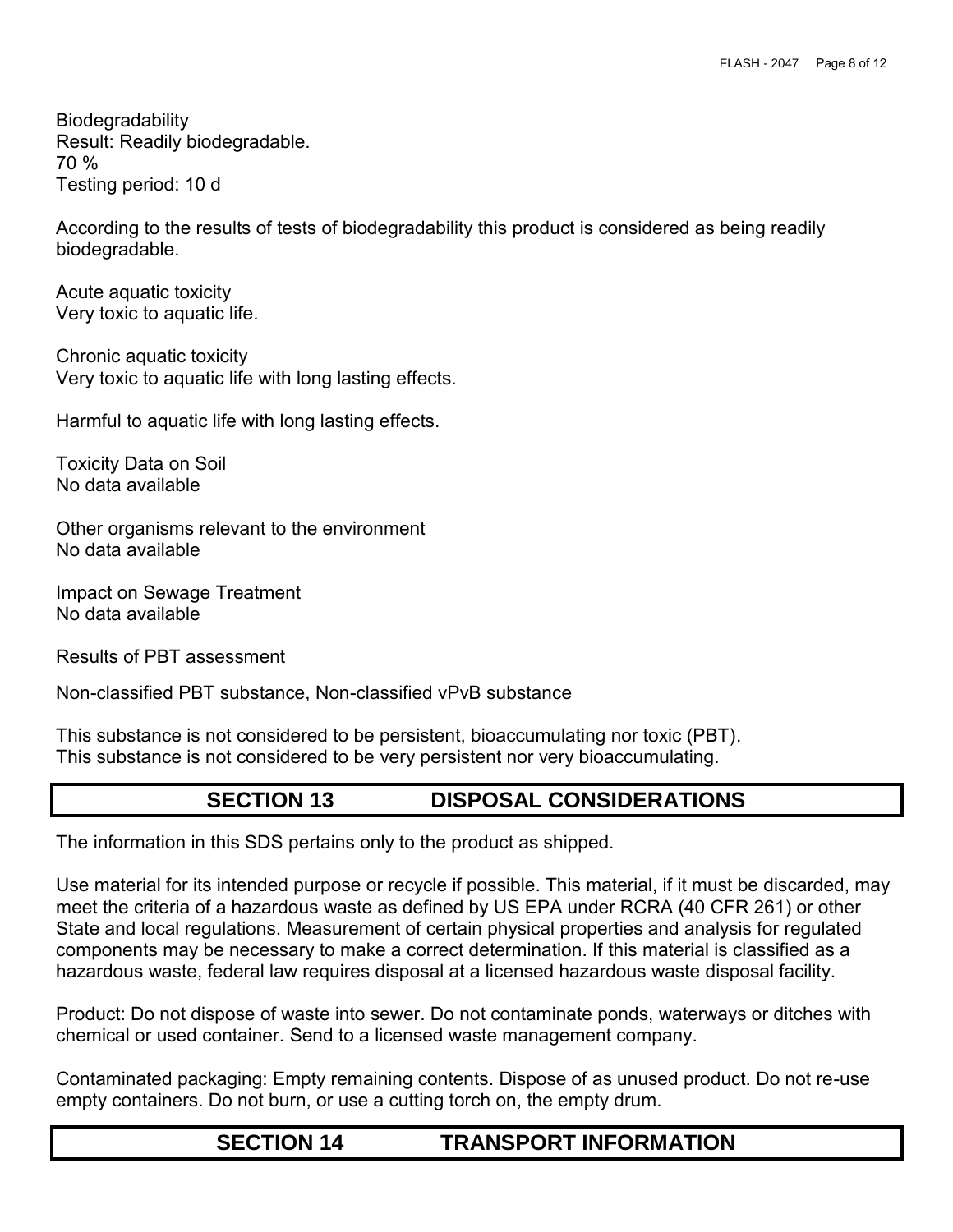Biodegradability Result: Readily biodegradable. 70 % Testing period: 10 d

According to the results of tests of biodegradability this product is considered as being readily biodegradable.

Acute aquatic toxicity Very toxic to aquatic life.

Chronic aquatic toxicity Very toxic to aquatic life with long lasting effects.

Harmful to aquatic life with long lasting effects.

Toxicity Data on Soil No data available

Other organisms relevant to the environment No data available

Impact on Sewage Treatment No data available

Results of PBT assessment

Non-classified PBT substance, Non-classified vPvB substance

This substance is not considered to be persistent, bioaccumulating nor toxic (PBT). This substance is not considered to be very persistent nor very bioaccumulating.

### **SECTION 13 DISPOSAL CONSIDERATIONS**

The information in this SDS pertains only to the product as shipped.

Use material for its intended purpose or recycle if possible. This material, if it must be discarded, may meet the criteria of a hazardous waste as defined by US EPA under RCRA (40 CFR 261) or other State and local regulations. Measurement of certain physical properties and analysis for regulated components may be necessary to make a correct determination. If this material is classified as a hazardous waste, federal law requires disposal at a licensed hazardous waste disposal facility.

Product: Do not dispose of waste into sewer. Do not contaminate ponds, waterways or ditches with chemical or used container. Send to a licensed waste management company.

Contaminated packaging: Empty remaining contents. Dispose of as unused product. Do not re-use empty containers. Do not burn, or use a cutting torch on, the empty drum.

### **SECTION 14 TRANSPORT INFORMATION**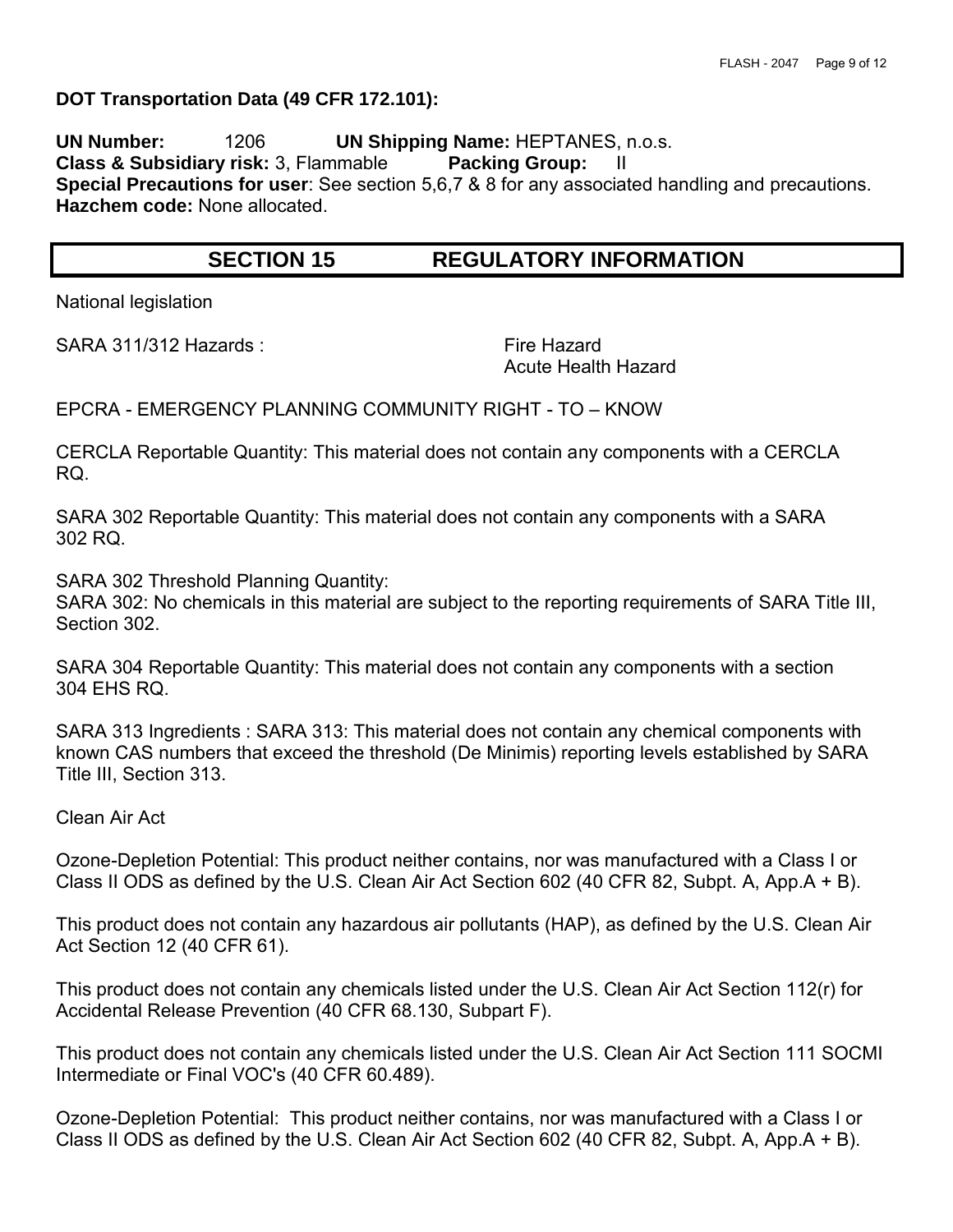#### **DOT Transportation Data (49 CFR 172.101):**

**UN Number:** 1206 **UN Shipping Name:** HEPTANES, n.o.s. **Class & Subsidiary risk:** 3, Flammable **Packing Group:** II **Special Precautions for user**: See section 5,6,7 & 8 for any associated handling and precautions. **Hazchem code:** None allocated.

#### **SECTION 15** REGULATORY INFORMATION

National legislation

SARA 311/312 Hazards : Fire Hazard

Acute Health Hazard

EPCRA - EMERGENCY PLANNING COMMUNITY RIGHT - TO – KNOW

CERCLA Reportable Quantity: This material does not contain any components with a CERCLA RQ.

SARA 302 Reportable Quantity: This material does not contain any components with a SARA 302 RQ.

SARA 302 Threshold Planning Quantity:

SARA 302: No chemicals in this material are subject to the reporting requirements of SARA Title III, Section 302.

SARA 304 Reportable Quantity: This material does not contain any components with a section 304 EHS RQ.

SARA 313 Ingredients : SARA 313: This material does not contain any chemical components with known CAS numbers that exceed the threshold (De Minimis) reporting levels established by SARA Title III, Section 313.

Clean Air Act

Ozone-Depletion Potential: This product neither contains, nor was manufactured with a Class I or Class II ODS as defined by the U.S. Clean Air Act Section 602 (40 CFR 82, Subpt. A, App.A + B).

This product does not contain any hazardous air pollutants (HAP), as defined by the U.S. Clean Air Act Section 12 (40 CFR 61).

This product does not contain any chemicals listed under the U.S. Clean Air Act Section 112(r) for Accidental Release Prevention (40 CFR 68.130, Subpart F).

This product does not contain any chemicals listed under the U.S. Clean Air Act Section 111 SOCMI Intermediate or Final VOC's (40 CFR 60.489).

Ozone-Depletion Potential: This product neither contains, nor was manufactured with a Class I or Class II ODS as defined by the U.S. Clean Air Act Section 602 (40 CFR 82, Subpt. A, App.A + B).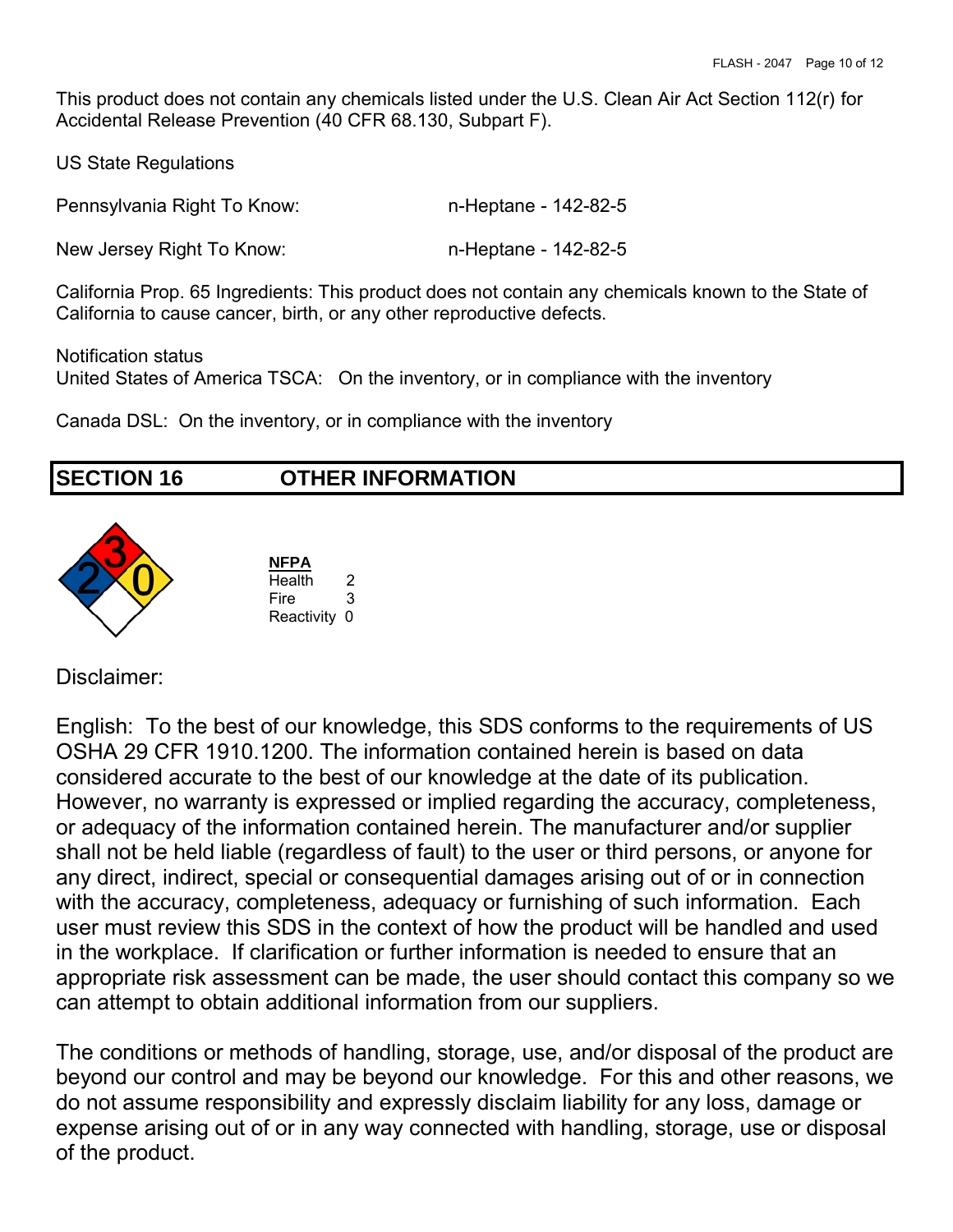This product does not contain any chemicals listed under the U.S. Clean Air Act Section 112(r) for Accidental Release Prevention (40 CFR 68.130, Subpart F).

US State Regulations

| Pennsylvania Right To Know: | n-Heptane - 142-82-5 |
|-----------------------------|----------------------|
|                             |                      |

New Jersey Right To Know: n-Heptane - 142-82-5

California Prop. 65 Ingredients: This product does not contain any chemicals known to the State of California to cause cancer, birth, or any other reproductive defects.

Notification status

United States of America TSCA: On the inventory, or in compliance with the inventory

Canada DSL: On the inventory, or in compliance with the inventory

### **SECTION 16 OTHER INFORMATION**



**NFPA** Health 2 Fire 3 Reactivity 0

Disclaimer:

English: To the best of our knowledge, this SDS conforms to the requirements of US OSHA 29 CFR 1910.1200. The information contained herein is based on data considered accurate to the best of our knowledge at the date of its publication. However, no warranty is expressed or implied regarding the accuracy, completeness, or adequacy of the information contained herein. The manufacturer and/or supplier shall not be held liable (regardless of fault) to the user or third persons, or anyone for any direct, indirect, special or consequential damages arising out of or in connection with the accuracy, completeness, adequacy or furnishing of such information. Each user must review this SDS in the context of how the product will be handled and used in the workplace. If clarification or further information is needed to ensure that an appropriate risk assessment can be made, the user should contact this company so we can attempt to obtain additional information from our suppliers.

The conditions or methods of handling, storage, use, and/or disposal of the product are beyond our control and may be beyond our knowledge. For this and other reasons, we do not assume responsibility and expressly disclaim liability for any loss, damage or expense arising out of or in any way connected with handling, storage, use or disposal of the product.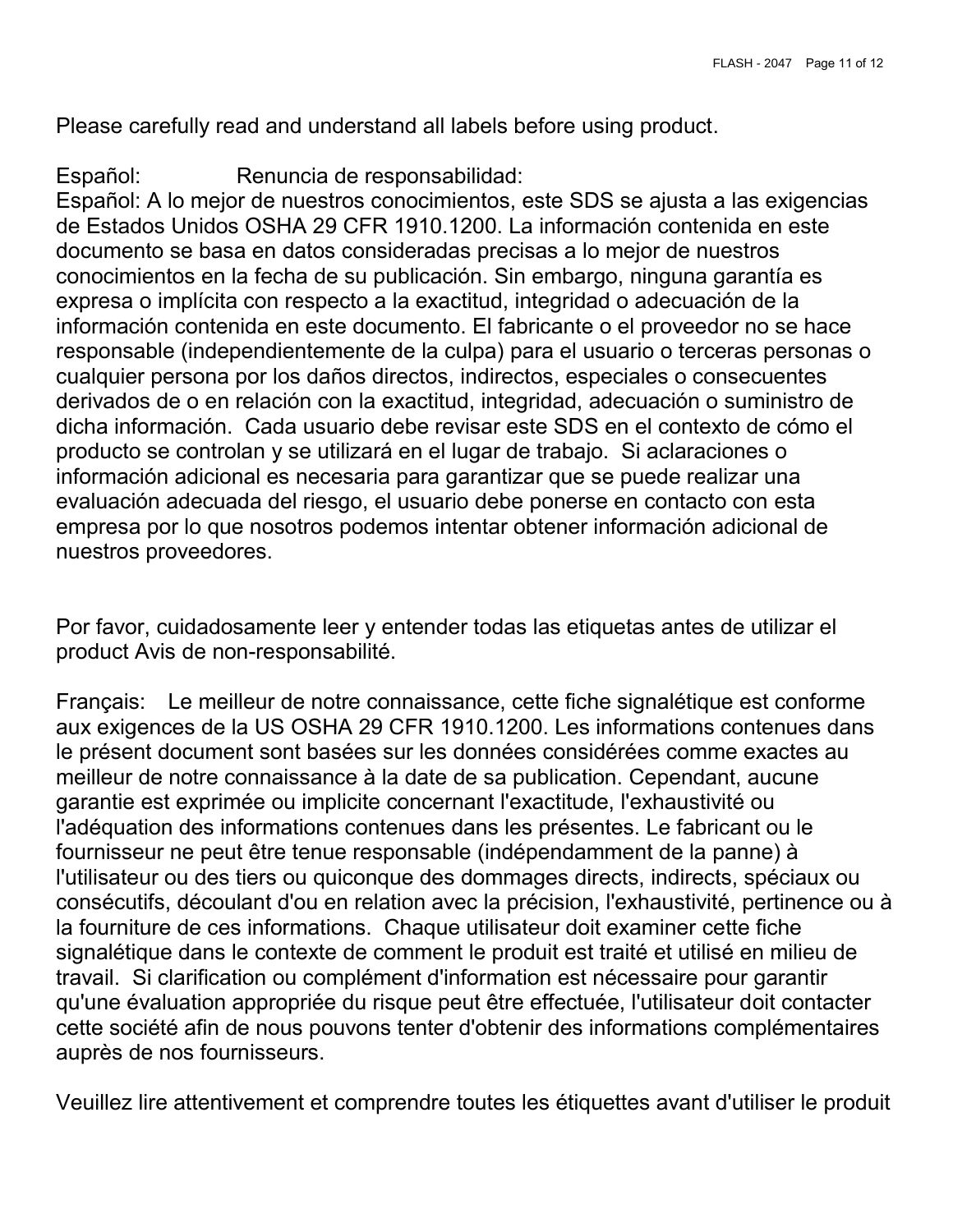Please carefully read and understand all labels before using product.

Español: Renuncia de responsabilidad:

Español: A lo mejor de nuestros conocimientos, este SDS se ajusta a las exigencias de Estados Unidos OSHA 29 CFR 1910.1200. La información contenida en este documento se basa en datos consideradas precisas a lo mejor de nuestros conocimientos en la fecha de su publicación. Sin embargo, ninguna garantía es expresa o implícita con respecto a la exactitud, integridad o adecuación de la información contenida en este documento. El fabricante o el proveedor no se hace responsable (independientemente de la culpa) para el usuario o terceras personas o cualquier persona por los daños directos, indirectos, especiales o consecuentes derivados de o en relación con la exactitud, integridad, adecuación o suministro de dicha información. Cada usuario debe revisar este SDS en el contexto de cómo el producto se controlan y se utilizará en el lugar de trabajo. Si aclaraciones o información adicional es necesaria para garantizar que se puede realizar una evaluación adecuada del riesgo, el usuario debe ponerse en contacto con esta empresa por lo que nosotros podemos intentar obtener información adicional de nuestros proveedores.

Por favor, cuidadosamente leer y entender todas las etiquetas antes de utilizar el product Avis de non-responsabilité.

Français: Le meilleur de notre connaissance, cette fiche signalétique est conforme aux exigences de la US OSHA 29 CFR 1910.1200. Les informations contenues dans le présent document sont basées sur les données considérées comme exactes au meilleur de notre connaissance à la date de sa publication. Cependant, aucune garantie est exprimée ou implicite concernant l'exactitude, l'exhaustivité ou l'adéquation des informations contenues dans les présentes. Le fabricant ou le fournisseur ne peut être tenue responsable (indépendamment de la panne) à l'utilisateur ou des tiers ou quiconque des dommages directs, indirects, spéciaux ou consécutifs, découlant d'ou en relation avec la précision, l'exhaustivité, pertinence ou à la fourniture de ces informations. Chaque utilisateur doit examiner cette fiche signalétique dans le contexte de comment le produit est traité et utilisé en milieu de travail. Si clarification ou complément d'information est nécessaire pour garantir qu'une évaluation appropriée du risque peut être effectuée, l'utilisateur doit contacter cette société afin de nous pouvons tenter d'obtenir des informations complémentaires auprès de nos fournisseurs.

Veuillez lire attentivement et comprendre toutes les étiquettes avant d'utiliser le produit